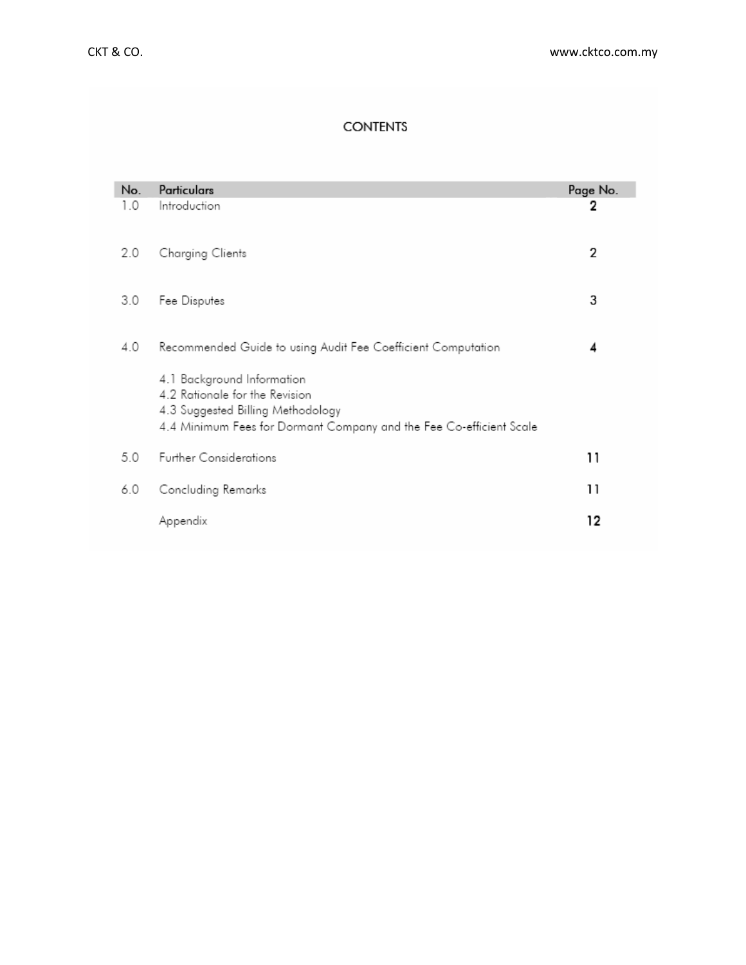# **CONTENTS**

| No. | Particulars                                                                                                                                                              | Page No. |
|-----|--------------------------------------------------------------------------------------------------------------------------------------------------------------------------|----------|
| 1.0 | Introduction                                                                                                                                                             | 2        |
| 2.0 | Charging Clients                                                                                                                                                         | 2        |
| 3.0 | Fee Disputes                                                                                                                                                             | 3        |
| 4.0 | Recommended Guide to using Audit Fee Coefficient Computation                                                                                                             | 4        |
|     | 4.1 Background Information<br>4.2 Rationale for the Revision<br>4.3 Suggested Billing Methodology<br>4.4 Minimum Fees for Dormant Company and the Fee Co-efficient Scale |          |
| 5.0 | <b>Further Considerations</b>                                                                                                                                            | 11       |
| 6.0 | Concluding Remarks                                                                                                                                                       | 11       |
|     | Appendix                                                                                                                                                                 | 12       |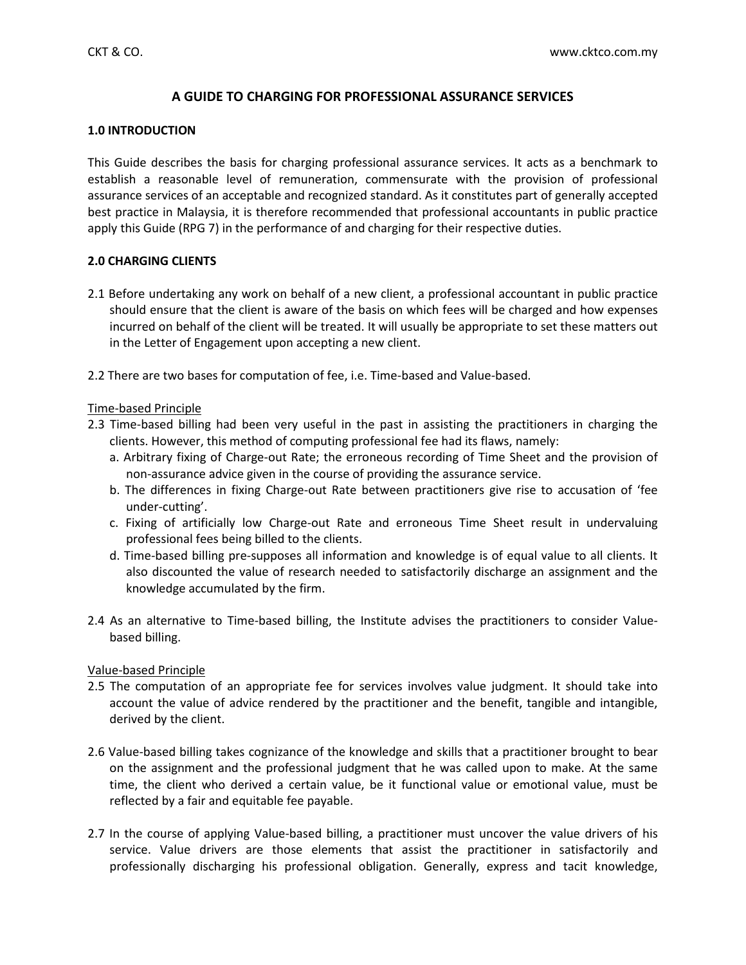# **A GUIDE TO CHARGING FOR PROFESSIONAL ASSURANCE SERVICES**

# **1.0 INTRODUCTION**

This Guide describes the basis for charging professional assurance services. It acts as a benchmark to establish a reasonable level of remuneration, commensurate with the provision of professional assurance services of an acceptable and recognized standard. As it constitutes part of generally accepted best practice in Malaysia, it is therefore recommended that professional accountants in public practice apply this Guide (RPG 7) in the performance of and charging for their respective duties.

# **2.0 CHARGING CLIENTS**

- 2.1 Before undertaking any work on behalf of a new client, a professional accountant in public practice should ensure that the client is aware of the basis on which fees will be charged and how expenses incurred on behalf of the client will be treated. It will usually be appropriate to set these matters out in the Letter of Engagement upon accepting a new client.
- 2.2 There are two bases for computation of fee, i.e. Time-based and Value-based.

# Time-based Principle

- 2.3 Time-based billing had been very useful in the past in assisting the practitioners in charging the clients. However, this method of computing professional fee had its flaws, namely:
	- a. Arbitrary fixing of Charge-out Rate; the erroneous recording of Time Sheet and the provision of non-assurance advice given in the course of providing the assurance service.
	- b. The differences in fixing Charge-out Rate between practitioners give rise to accusation of 'fee under-cutting'.
	- c. Fixing of artificially low Charge-out Rate and erroneous Time Sheet result in undervaluing professional fees being billed to the clients.
	- d. Time-based billing pre-supposes all information and knowledge is of equal value to all clients. It also discounted the value of research needed to satisfactorily discharge an assignment and the knowledge accumulated by the firm.
- 2.4 As an alternative to Time-based billing, the Institute advises the practitioners to consider Valuebased billing.

# Value-based Principle

- 2.5 The computation of an appropriate fee for services involves value judgment. It should take into account the value of advice rendered by the practitioner and the benefit, tangible and intangible, derived by the client.
- 2.6 Value-based billing takes cognizance of the knowledge and skills that a practitioner brought to bear on the assignment and the professional judgment that he was called upon to make. At the same time, the client who derived a certain value, be it functional value or emotional value, must be reflected by a fair and equitable fee payable.
- 2.7 In the course of applying Value-based billing, a practitioner must uncover the value drivers of his service. Value drivers are those elements that assist the practitioner in satisfactorily and professionally discharging his professional obligation. Generally, express and tacit knowledge,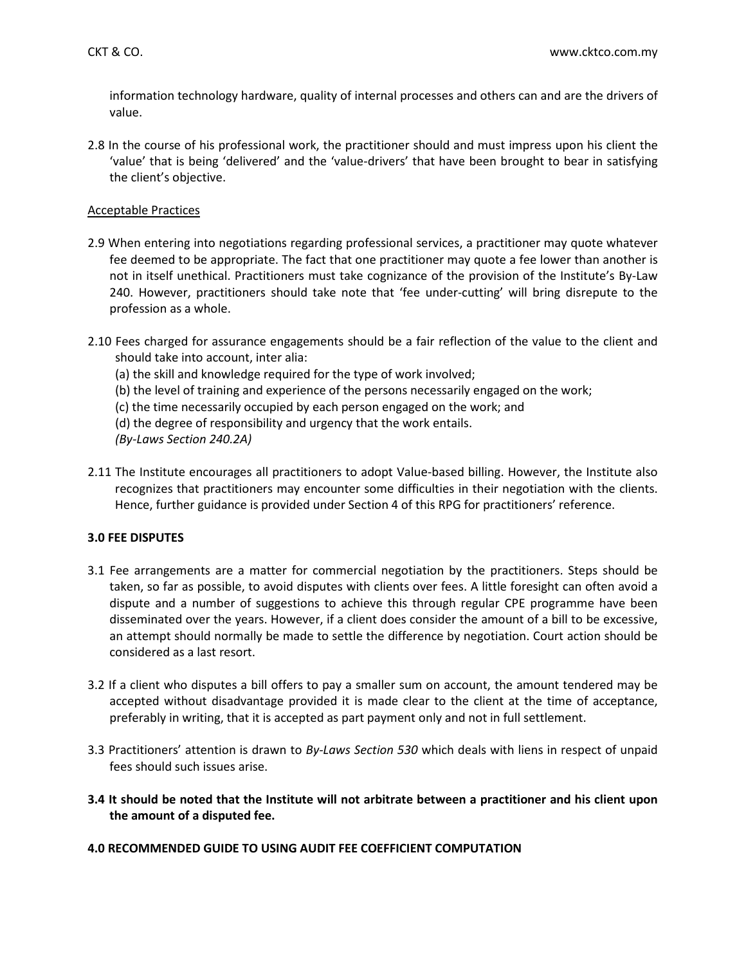information technology hardware, quality of internal processes and others can and are the drivers of value.

2.8 In the course of his professional work, the practitioner should and must impress upon his client the 'value' that is being 'delivered' and the 'value-drivers' that have been brought to bear in satisfying the client's objective.

### Acceptable Practices

- 2.9 When entering into negotiations regarding professional services, a practitioner may quote whatever fee deemed to be appropriate. The fact that one practitioner may quote a fee lower than another is not in itself unethical. Practitioners must take cognizance of the provision of the Institute's By-Law 240. However, practitioners should take note that 'fee under-cutting' will bring disrepute to the profession as a whole.
- 2.10 Fees charged for assurance engagements should be a fair reflection of the value to the client and should take into account, inter alia:
	- (a) the skill and knowledge required for the type of work involved;
	- (b) the level of training and experience of the persons necessarily engaged on the work;
	- (c) the time necessarily occupied by each person engaged on the work; and
	- (d) the degree of responsibility and urgency that the work entails.
	- *(By-Laws Section 240.2A)*
- 2.11 The Institute encourages all practitioners to adopt Value-based billing. However, the Institute also recognizes that practitioners may encounter some difficulties in their negotiation with the clients. Hence, further guidance is provided under Section 4 of this RPG for practitioners' reference.

### **3.0 FEE DISPUTES**

- 3.1 Fee arrangements are a matter for commercial negotiation by the practitioners. Steps should be taken, so far as possible, to avoid disputes with clients over fees. A little foresight can often avoid a dispute and a number of suggestions to achieve this through regular CPE programme have been disseminated over the years. However, if a client does consider the amount of a bill to be excessive, an attempt should normally be made to settle the difference by negotiation. Court action should be considered as a last resort.
- 3.2 If a client who disputes a bill offers to pay a smaller sum on account, the amount tendered may be accepted without disadvantage provided it is made clear to the client at the time of acceptance, preferably in writing, that it is accepted as part payment only and not in full settlement.
- 3.3 Practitioners' attention is drawn to *By-Laws Section 530* which deals with liens in respect of unpaid fees should such issues arise.
- **3.4 It should be noted that the Institute will not arbitrate between a practitioner and his client upon the amount of a disputed fee.**

### **4.0 RECOMMENDED GUIDE TO USING AUDIT FEE COEFFICIENT COMPUTATION**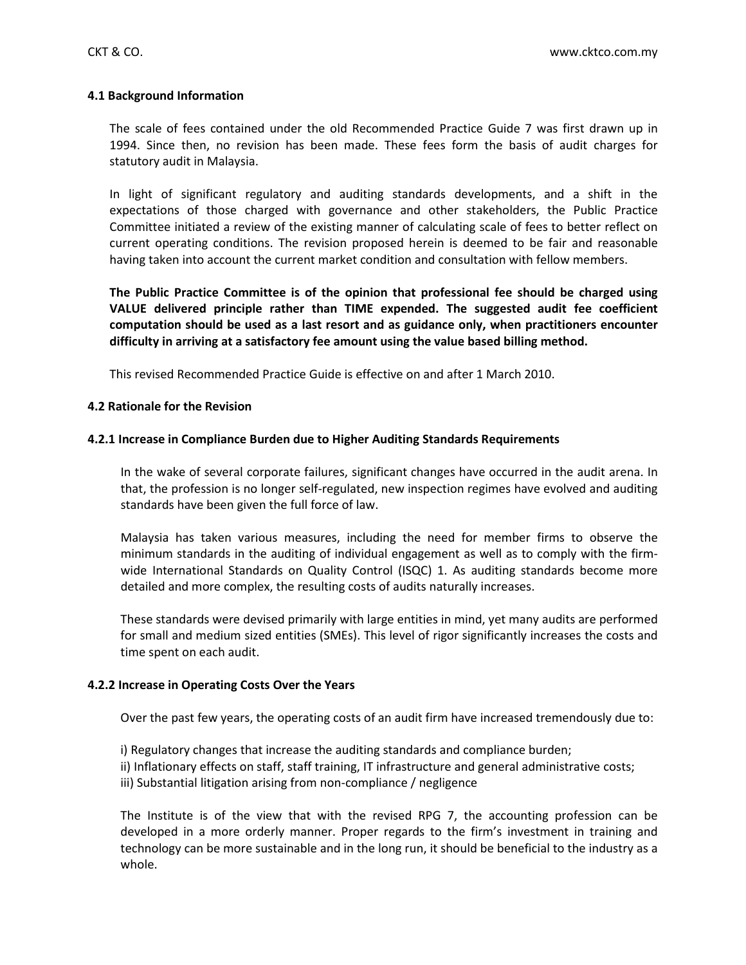### **4.1 Background Information**

The scale of fees contained under the old Recommended Practice Guide 7 was first drawn up in 1994. Since then, no revision has been made. These fees form the basis of audit charges for statutory audit in Malaysia.

In light of significant regulatory and auditing standards developments, and a shift in the expectations of those charged with governance and other stakeholders, the Public Practice Committee initiated a review of the existing manner of calculating scale of fees to better reflect on current operating conditions. The revision proposed herein is deemed to be fair and reasonable having taken into account the current market condition and consultation with fellow members.

**The Public Practice Committee is of the opinion that professional fee should be charged using VALUE delivered principle rather than TIME expended. The suggested audit fee coefficient computation should be used as a last resort and as guidance only, when practitioners encounter difficulty in arriving at a satisfactory fee amount using the value based billing method.**

This revised Recommended Practice Guide is effective on and after 1 March 2010.

### **4.2 Rationale for the Revision**

### **4.2.1 Increase in Compliance Burden due to Higher Auditing Standards Requirements**

In the wake of several corporate failures, significant changes have occurred in the audit arena. In that, the profession is no longer self-regulated, new inspection regimes have evolved and auditing standards have been given the full force of law.

Malaysia has taken various measures, including the need for member firms to observe the minimum standards in the auditing of individual engagement as well as to comply with the firmwide International Standards on Quality Control (ISQC) 1. As auditing standards become more detailed and more complex, the resulting costs of audits naturally increases.

These standards were devised primarily with large entities in mind, yet many audits are performed for small and medium sized entities (SMEs). This level of rigor significantly increases the costs and time spent on each audit.

#### **4.2.2 Increase in Operating Costs Over the Years**

Over the past few years, the operating costs of an audit firm have increased tremendously due to:

i) Regulatory changes that increase the auditing standards and compliance burden; ii) Inflationary effects on staff, staff training, IT infrastructure and general administrative costs; iii) Substantial litigation arising from non-compliance / negligence

The Institute is of the view that with the revised RPG 7, the accounting profession can be developed in a more orderly manner. Proper regards to the firm's investment in training and technology can be more sustainable and in the long run, it should be beneficial to the industry as a whole.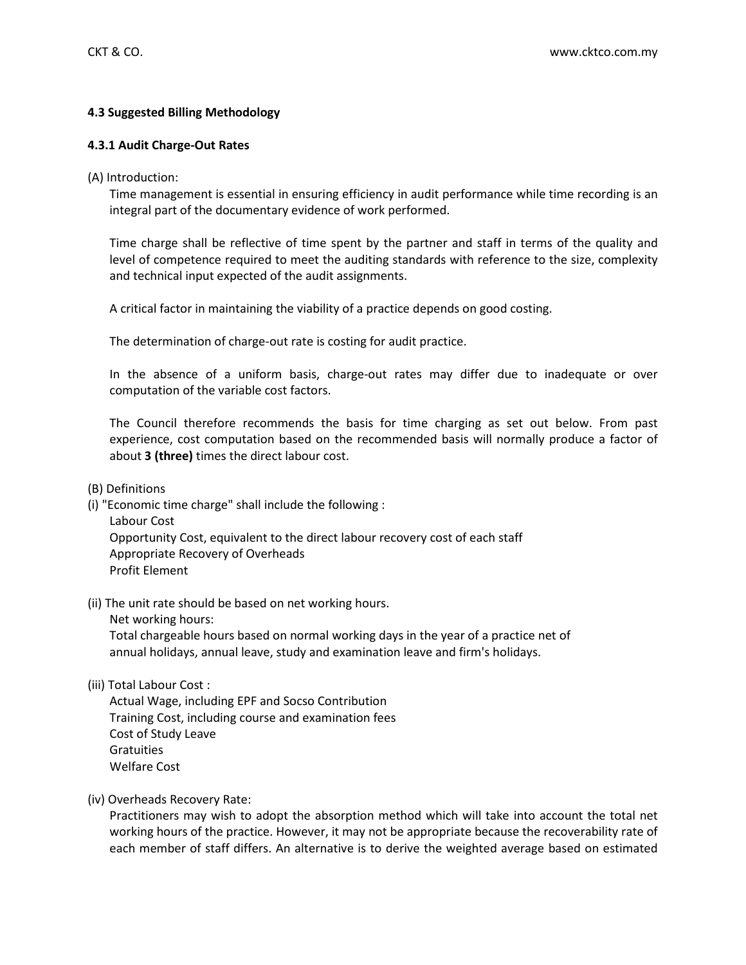# **4.3 Suggested Billing Methodology**

### **4.3.1 Audit Charge-Out Rates**

(A) Introduction:

Time management is essential in ensuring efficiency in audit performance while time recording is an integral part of the documentary evidence of work performed.

Time charge shall be reflective of time spent by the partner and staff in terms of the quality and level of competence required to meet the auditing standards with reference to the size, complexity and technical input expected of the audit assignments.

A critical factor in maintaining the viability of a practice depends on good costing.

The determination of charge-out rate is costing for audit practice.

In the absence of a uniform basis, charge-out rates may differ due to inadequate or over computation of the variable cost factors.

The Council therefore recommends the basis for time charging as set out below. From past experience, cost computation based on the recommended basis will normally produce a factor of about **3 (three)** times the direct labour cost.

(B) Definitions

(i) "Economic time charge" shall include the following :

Labour Cost Opportunity Cost, equivalent to the direct labour recovery cost of each staff Appropriate Recovery of Overheads Profit Element

- (ii) The unit rate should be based on net working hours.
	- Net working hours:

Total chargeable hours based on normal working days in the year of a practice net of annual holidays, annual leave, study and examination leave and firm's holidays.

(iii) Total Labour Cost :

Actual Wage, including EPF and Socso Contribution Training Cost, including course and examination fees Cost of Study Leave **Gratuities** Welfare Cost

(iv) Overheads Recovery Rate:

Practitioners may wish to adopt the absorption method which will take into account the total net working hours of the practice. However, it may not be appropriate because the recoverability rate of each member of staff differs. An alternative is to derive the weighted average based on estimated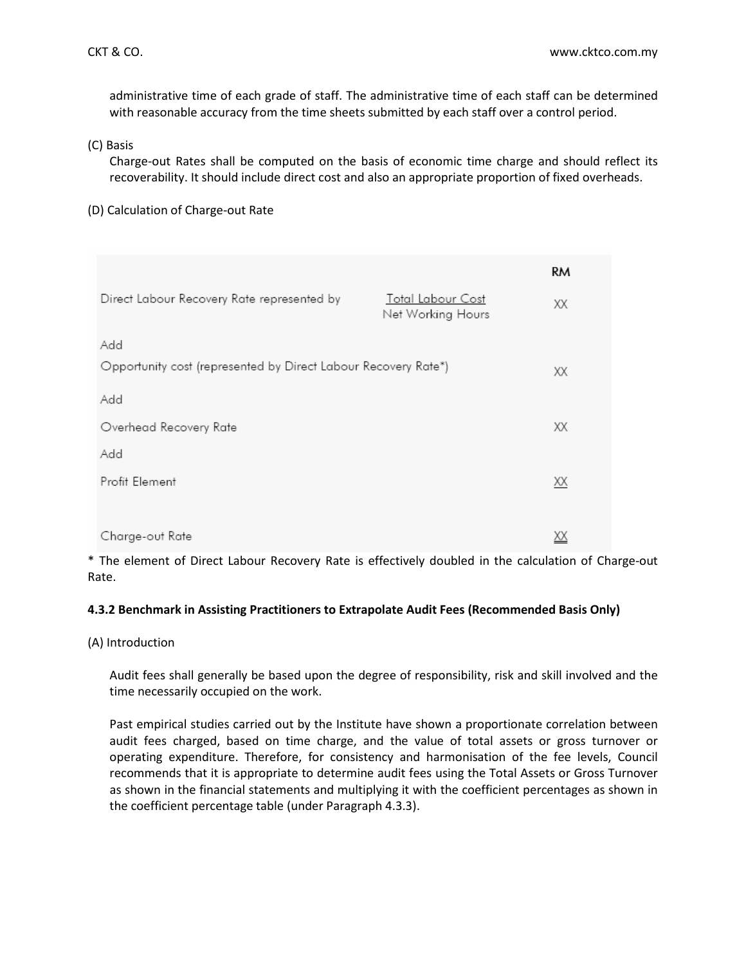administrative time of each grade of staff. The administrative time of each staff can be determined with reasonable accuracy from the time sheets submitted by each staff over a control period.

(C) Basis

Charge-out Rates shall be computed on the basis of economic time charge and should reflect its recoverability. It should include direct cost and also an appropriate proportion of fixed overheads.

(D) Calculation of Charge-out Rate

|                                                                |                                               | RМ        |
|----------------------------------------------------------------|-----------------------------------------------|-----------|
| Direct Labour Recovery Rate represented by                     | <b>Total Labour Cost</b><br>Net Working Hours | XХ        |
| Add                                                            |                                               |           |
| Opportunity cost (represented by Direct Labour Recovery Rate*) |                                               | XХ        |
| Add                                                            |                                               |           |
| Overhead Recovery Rate                                         |                                               | XХ        |
| Add                                                            |                                               |           |
| Profit Element                                                 |                                               | XX        |
|                                                                |                                               |           |
| Charge-out Rate                                                |                                               | <u>ХХ</u> |

\* The element of Direct Labour Recovery Rate is effectively doubled in the calculation of Charge-out Rate.

# **4.3.2 Benchmark in Assisting Practitioners to Extrapolate Audit Fees (Recommended Basis Only)**

(A) Introduction

Audit fees shall generally be based upon the degree of responsibility, risk and skill involved and the time necessarily occupied on the work.

Past empirical studies carried out by the Institute have shown a proportionate correlation between audit fees charged, based on time charge, and the value of total assets or gross turnover or operating expenditure. Therefore, for consistency and harmonisation of the fee levels, Council recommends that it is appropriate to determine audit fees using the Total Assets or Gross Turnover as shown in the financial statements and multiplying it with the coefficient percentages as shown in the coefficient percentage table (under Paragraph 4.3.3).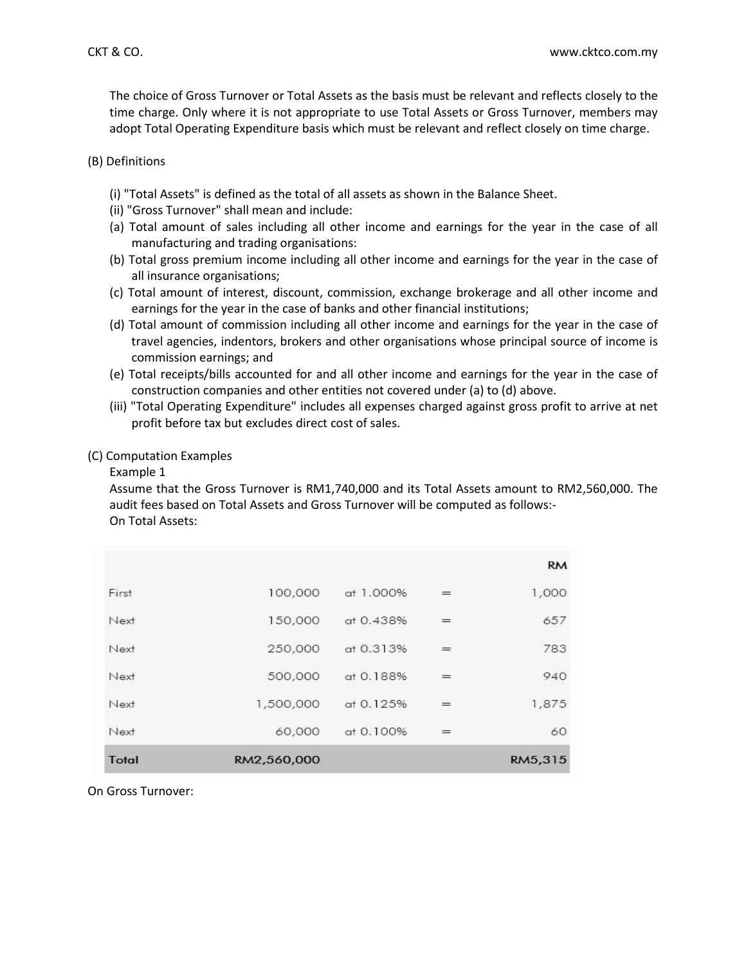The choice of Gross Turnover or Total Assets as the basis must be relevant and reflects closely to the time charge. Only where it is not appropriate to use Total Assets or Gross Turnover, members may adopt Total Operating Expenditure basis which must be relevant and reflect closely on time charge.

### (B) Definitions

- (i) "Total Assets" is defined as the total of all assets as shown in the Balance Sheet.
- (ii) "Gross Turnover" shall mean and include:
- (a) Total amount of sales including all other income and earnings for the year in the case of all manufacturing and trading organisations:
- (b) Total gross premium income including all other income and earnings for the year in the case of all insurance organisations;
- (c) Total amount of interest, discount, commission, exchange brokerage and all other income and earnings for the year in the case of banks and other financial institutions;
- (d) Total amount of commission including all other income and earnings for the year in the case of travel agencies, indentors, brokers and other organisations whose principal source of income is commission earnings; and
- (e) Total receipts/bills accounted for and all other income and earnings for the year in the case of construction companies and other entities not covered under (a) to (d) above.
- (iii) "Total Operating Expenditure" includes all expenses charged against gross profit to arrive at net profit before tax but excludes direct cost of sales.

# (C) Computation Examples

### Example 1

Assume that the Gross Turnover is RM1,740,000 and its Total Assets amount to RM2,560,000. The audit fees based on Total Assets and Gross Turnover will be computed as follows:- On Total Assets:

|              |             |           |     | <b>RM</b> |
|--------------|-------------|-----------|-----|-----------|
| First        | 100,000     | at 1.000% | $=$ | 1,000     |
| Next         | 150,000     | at 0.438% | $=$ | 657       |
| Next         | 250,000     | at 0.313% | $=$ | 783       |
| Next         | 500,000     | at 0.188% | $=$ | 940       |
| Next         | 1,500,000   | at 0.125% | $=$ | 1,875     |
| Next         | 60,000      | at 0.100% | $=$ | 60        |
| <b>Total</b> | RM2,560,000 |           |     | RM5,315   |

On Gross Turnover: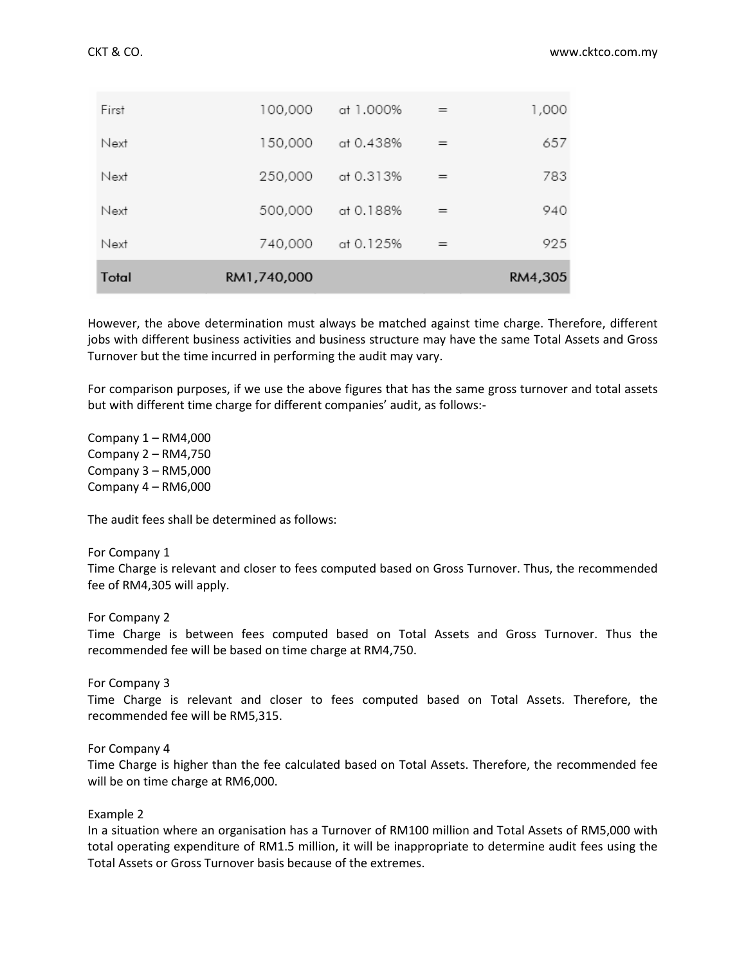| Total | RM1,740,000 |           |     | RM4,305 |
|-------|-------------|-----------|-----|---------|
| Next  | 740,000     | at 0.125% | $=$ | 925     |
| Next  | 500,000     | at 0.188% | $=$ | 940     |
| Next  | 250,000     | at 0.313% | $=$ | 783     |
| Next  | 150,000     | at 0.438% | $=$ | 657     |
| First | 100,000     | at 1.000% | $=$ | 1,000   |

However, the above determination must always be matched against time charge. Therefore, different jobs with different business activities and business structure may have the same Total Assets and Gross Turnover but the time incurred in performing the audit may vary.

For comparison purposes, if we use the above figures that has the same gross turnover and total assets but with different time charge for different companies' audit, as follows:-

Company 1 – RM4,000 Company 2 – RM4,750 Company 3 – RM5,000 Company 4 – RM6,000

The audit fees shall be determined as follows:

#### For Company 1

Time Charge is relevant and closer to fees computed based on Gross Turnover. Thus, the recommended fee of RM4,305 will apply.

For Company 2

Time Charge is between fees computed based on Total Assets and Gross Turnover. Thus the recommended fee will be based on time charge at RM4,750.

For Company 3

Time Charge is relevant and closer to fees computed based on Total Assets. Therefore, the recommended fee will be RM5,315.

For Company 4

Time Charge is higher than the fee calculated based on Total Assets. Therefore, the recommended fee will be on time charge at RM6,000.

### Example 2

In a situation where an organisation has a Turnover of RM100 million and Total Assets of RM5,000 with total operating expenditure of RM1.5 million, it will be inappropriate to determine audit fees using the Total Assets or Gross Turnover basis because of the extremes.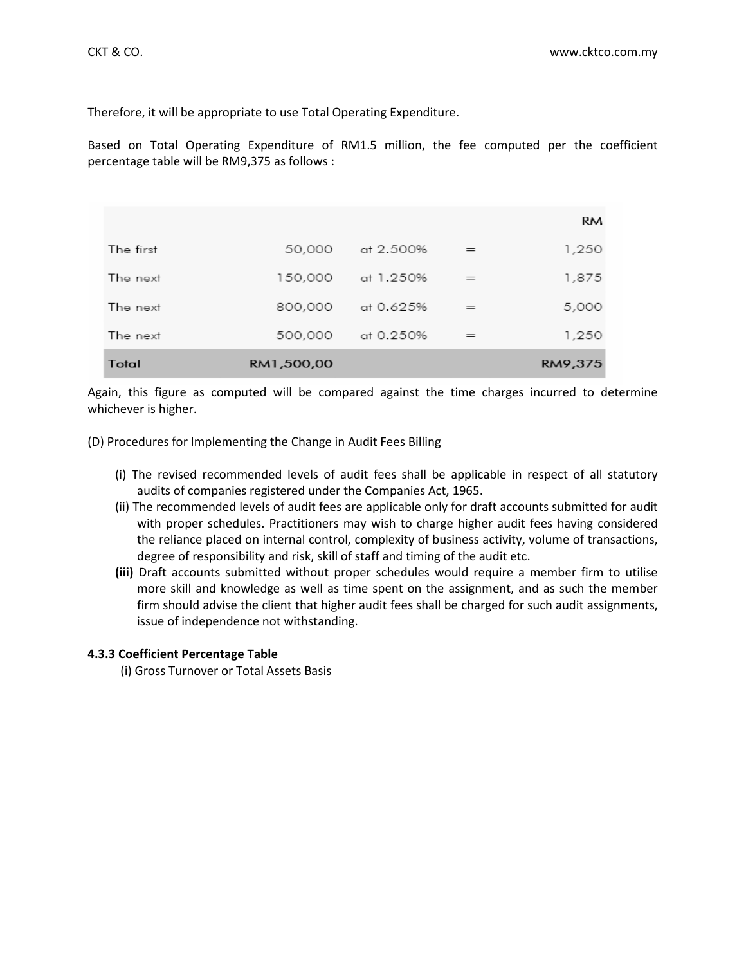Therefore, it will be appropriate to use Total Operating Expenditure.

Based on Total Operating Expenditure of RM1.5 million, the fee computed per the coefficient percentage table will be RM9,375 as follows :

|           |            |           |     | <b>RM</b> |
|-----------|------------|-----------|-----|-----------|
| The first | 50,000     | at 2.500% | $=$ | 1,250     |
| The next  | 150,000    | at 1.250% | $=$ | 1,875     |
| The next  | 800,000    | at 0.625% | $=$ | 5,000     |
| The next  | 500,000    | at 0.250% | $=$ | 1,250     |
| Total     | RM1,500,00 |           |     | RM9,375   |

Again, this figure as computed will be compared against the time charges incurred to determine whichever is higher.

(D) Procedures for Implementing the Change in Audit Fees Billing

- (i) The revised recommended levels of audit fees shall be applicable in respect of all statutory audits of companies registered under the Companies Act, 1965.
- (ii) The recommended levels of audit fees are applicable only for draft accounts submitted for audit with proper schedules. Practitioners may wish to charge higher audit fees having considered the reliance placed on internal control, complexity of business activity, volume of transactions, degree of responsibility and risk, skill of staff and timing of the audit etc.
- **(iii)** Draft accounts submitted without proper schedules would require a member firm to utilise more skill and knowledge as well as time spent on the assignment, and as such the member firm should advise the client that higher audit fees shall be charged for such audit assignments, issue of independence not withstanding.

### **4.3.3 Coefficient Percentage Table**

(i) Gross Turnover or Total Assets Basis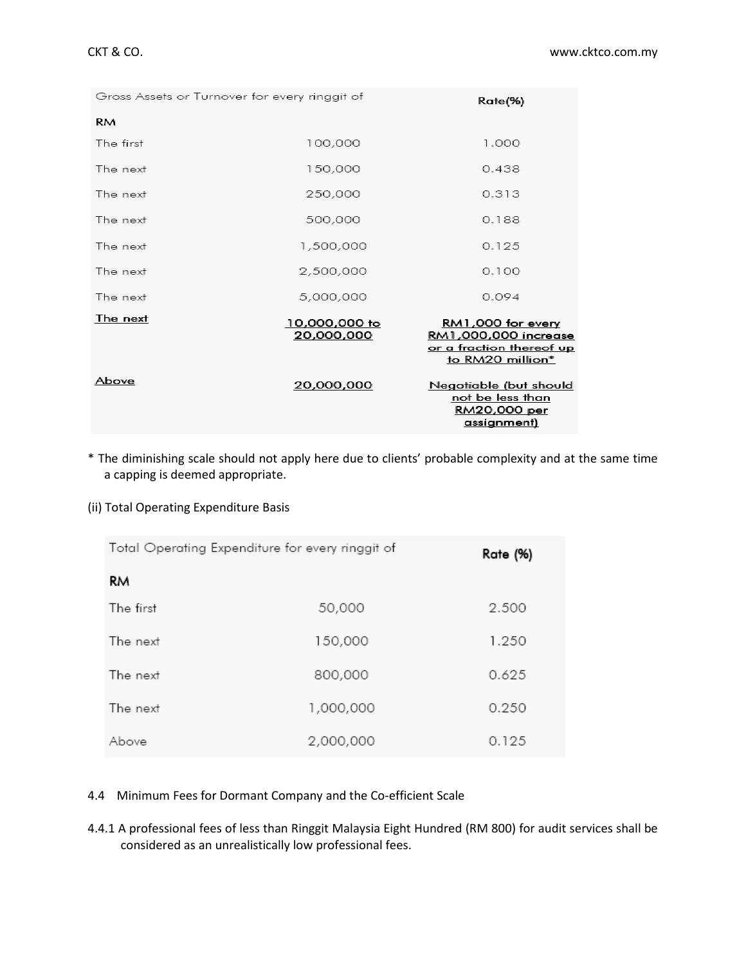| Gross Assets or Turnover for every ringgit of | Rate(%)                     |                                                                                                         |
|-----------------------------------------------|-----------------------------|---------------------------------------------------------------------------------------------------------|
| <b>RM</b>                                     |                             |                                                                                                         |
| The first                                     | 100,000                     | 1.000                                                                                                   |
| The next                                      | 150,000                     | 0.438                                                                                                   |
| The next                                      | 250,000                     | 0.313                                                                                                   |
| The next                                      | 500,000                     | 0.188                                                                                                   |
| The next                                      | 1,500,000                   | 0.125                                                                                                   |
| The next                                      | 2,500,000                   | 0.100                                                                                                   |
| The next                                      | 5,000,000                   | 0.094                                                                                                   |
| The next                                      | 10,000,000 to<br>20,000,000 | RM1,000 for every<br><u>RM1,000,000 increase</u><br><u>or a fraction thereof up</u><br>to RM20 million* |
| Above                                         | 20,000,000                  | Negotiable (but should<br>not be less than<br><u>RM20,000 per</u><br><u>assignment)</u>                 |

\* The diminishing scale should not apply here due to clients' probable complexity and at the same time a capping is deemed appropriate.

# (ii) Total Operating Expenditure Basis

| Total Operating Expenditure for every ringgit of | Rate (%)  |       |
|--------------------------------------------------|-----------|-------|
| RM                                               |           |       |
| The first                                        | 50,000    | 2.500 |
| The next                                         | 150,000   | 1.250 |
| The next                                         | 800,000   | 0.625 |
| The next                                         | 1,000,000 | 0.250 |
| Above                                            | 2,000,000 | 0.125 |

# 4.4 Minimum Fees for Dormant Company and the Co-efficient Scale

4.4.1 A professional fees of less than Ringgit Malaysia Eight Hundred (RM 800) for audit services shall be considered as an unrealistically low professional fees.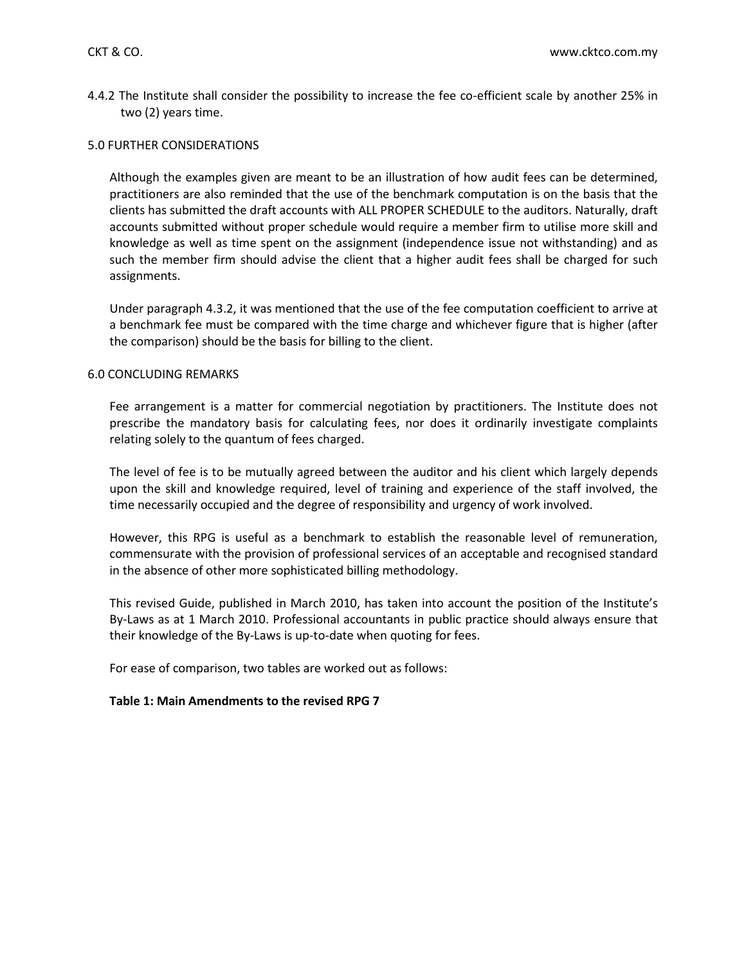4.4.2 The Institute shall consider the possibility to increase the fee co-efficient scale by another 25% in two (2) years time.

### 5.0 FURTHER CONSIDERATIONS

Although the examples given are meant to be an illustration of how audit fees can be determined, practitioners are also reminded that the use of the benchmark computation is on the basis that the clients has submitted the draft accounts with ALL PROPER SCHEDULE to the auditors. Naturally, draft accounts submitted without proper schedule would require a member firm to utilise more skill and knowledge as well as time spent on the assignment (independence issue not withstanding) and as such the member firm should advise the client that a higher audit fees shall be charged for such assignments.

Under paragraph 4.3.2, it was mentioned that the use of the fee computation coefficient to arrive at a benchmark fee must be compared with the time charge and whichever figure that is higher (after the comparison) should be the basis for billing to the client.

### 6.0 CONCLUDING REMARKS

Fee arrangement is a matter for commercial negotiation by practitioners. The Institute does not prescribe the mandatory basis for calculating fees, nor does it ordinarily investigate complaints relating solely to the quantum of fees charged.

The level of fee is to be mutually agreed between the auditor and his client which largely depends upon the skill and knowledge required, level of training and experience of the staff involved, the time necessarily occupied and the degree of responsibility and urgency of work involved.

However, this RPG is useful as a benchmark to establish the reasonable level of remuneration, commensurate with the provision of professional services of an acceptable and recognised standard in the absence of other more sophisticated billing methodology.

This revised Guide, published in March 2010, has taken into account the position of the Institute's By-Laws as at 1 March 2010. Professional accountants in public practice should always ensure that their knowledge of the By-Laws is up-to-date when quoting for fees.

For ease of comparison, two tables are worked out as follows:

### **Table 1: Main Amendments to the revised RPG 7**